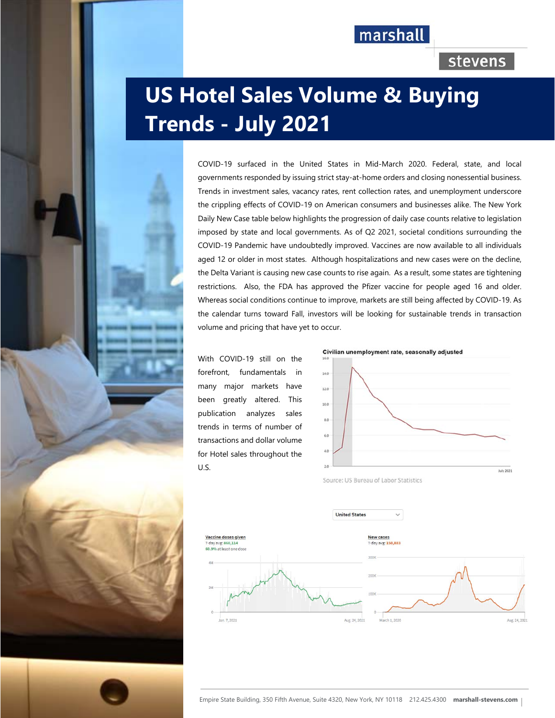## marshall

## stevens

# **US Hotel Sales Volume & Buying Trends - July 2021**

COVID-19 surfaced in the United States in Mid-March 2020. Federal, state, and local governments responded by issuing strict stay-at-home orders and closing nonessential business. Trends in investment sales, vacancy rates, rent collection rates, and unemployment underscore the crippling effects of COVID-19 on American consumers and businesses alike. The New York Daily New Case table below highlights the progression of daily case counts relative to legislation imposed by state and local governments. As of Q2 2021, societal conditions surrounding the COVID-19 Pandemic have undoubtedly improved. Vaccines are now available to all individuals aged 12 or older in most states. Although hospitalizations and new cases were on the decline, the Delta Variant is causing new case counts to rise again. As a result, some states are tightening restrictions. Also, the FDA has approved the Pfizer vaccine for people aged 16 and older. Whereas social conditions continue to improve, markets are still being affected by COVID-19. As the calendar turns toward Fall, investors will be looking for sustainable trends in transaction volume and pricing that have yet to occur.

With COVID-19 still on the forefront, fundamentals in many major markets have been greatly altered. This publication analyzes sales trends in terms of number of transactions and dollar volume for Hotel sales throughout the U.S.







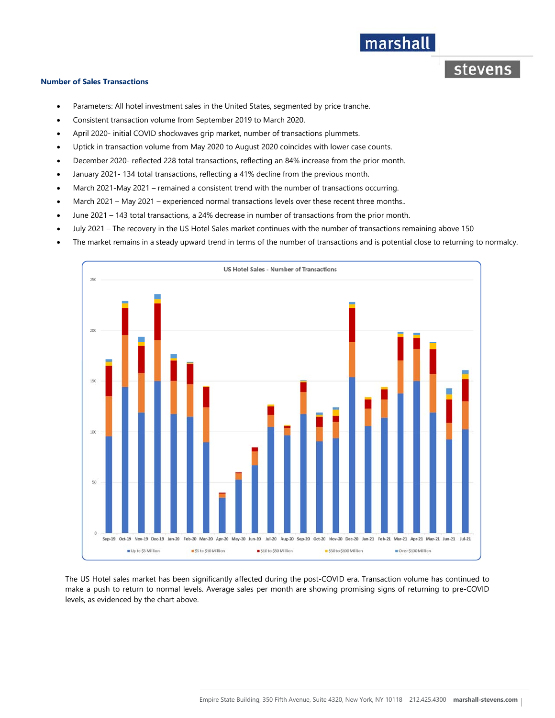## marshall

stevens

#### **Number of Sales Transactions**

- Parameters: All hotel investment sales in the United States, segmented by price tranche.
- Consistent transaction volume from September 2019 to March 2020.
- April 2020- initial COVID shockwaves grip market, number of transactions plummets.
- Uptick in transaction volume from May 2020 to August 2020 coincides with lower case counts.
- December 2020- reflected 228 total transactions, reflecting an 84% increase from the prior month.
- January 2021- 134 total transactions, reflecting a 41% decline from the previous month.
- March 2021-May 2021 remained a consistent trend with the number of transactions occurring.
- March 2021 May 2021 experienced normal transactions levels over these recent three months..
- June 2021 143 total transactions, a 24% decrease in number of transactions from the prior month.
- July 2021 The recovery in the US Hotel Sales market continues with the number of transactions remaining above 150
- The market remains in a steady upward trend in terms of the number of transactions and is potential close to returning to normalcy.



The US Hotel sales market has been significantly affected during the post-COVID era. Transaction volume has continued to make a push to return to normal levels. Average sales per month are showing promising signs of returning to pre-COVID levels, as evidenced by the chart above.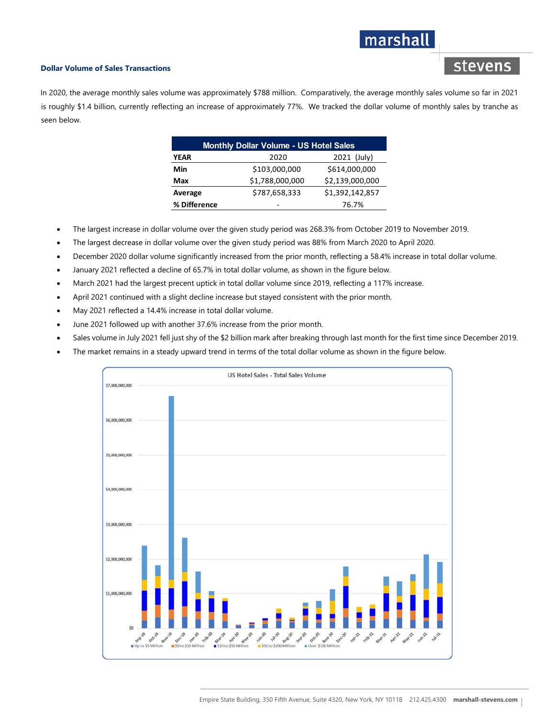## marshall

stevens

#### **Dollar Volume of Sales Transactions**

In 2020, the average monthly sales volume was approximately \$788 million. Comparatively, the average monthly sales volume so far in 2021 is roughly \$1.4 billion, currently reflecting an increase of approximately 77%. We tracked the dollar volume of monthly sales by tranche as seen below.

| <b>Monthly Dollar Volume - US Hotel Sales</b> |                 |                 |
|-----------------------------------------------|-----------------|-----------------|
| <b>YEAR</b>                                   | 2020            | 2021 (July)     |
| Min                                           | \$103,000,000   | \$614,000,000   |
| Max                                           | \$1,788,000,000 | \$2,139,000,000 |
| Average                                       | \$787,658,333   | \$1,392,142,857 |
| % Difference                                  |                 | 76.7%           |

- The largest increase in dollar volume over the given study period was 268.3% from October 2019 to November 2019.
- The largest decrease in dollar volume over the given study period was 88% from March 2020 to April 2020.
- December 2020 dollar volume significantly increased from the prior month, reflecting a 58.4% increase in total dollar volume.
- January 2021 reflected a decline of 65.7% in total dollar volume, as shown in the figure below.
- March 2021 had the largest precent uptick in total dollar volume since 2019, reflecting a 117% increase.
- April 2021 continued with a slight decline increase but stayed consistent with the prior month.
- May 2021 reflected a 14.4% increase in total dollar volume.
- June 2021 followed up with another 37.6% increase from the prior month.
- Sales volume in July 2021 fell just shy of the \$2 billion mark after breaking through last month for the first time since December 2019.
- The market remains in a steady upward trend in terms of the total dollar volume as shown in the figure below.